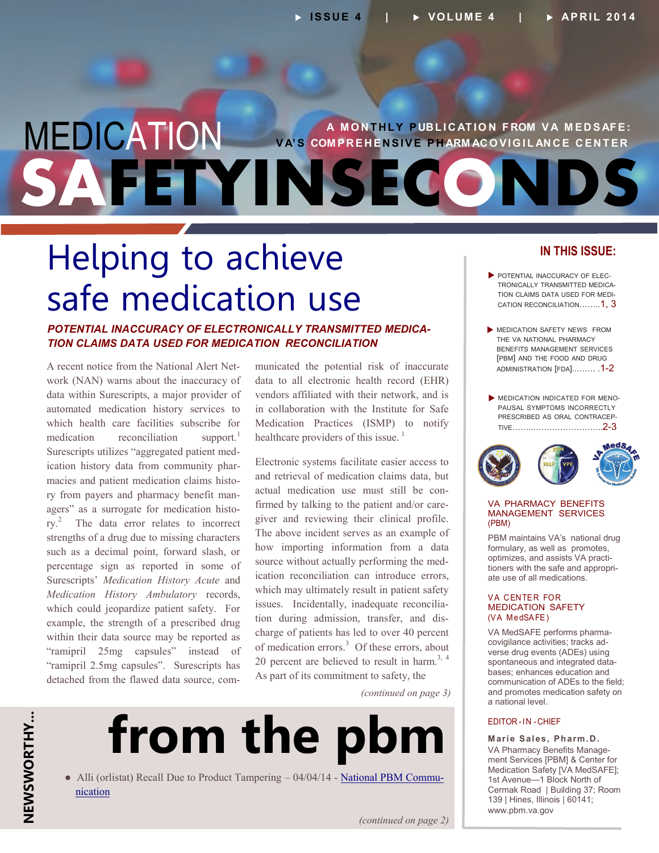## MEDICATION A MONTHLY PUBLICATION FROM VA MEDSAFE: FETYINSECONI

## Helping to achieve safe medication use

### *POTENTIAL INACCURACY OF ELECTRONICALLY TRANSMITTED MEDICA-TION CLAIMS DATA USED FOR MEDICATION RECONCILIATION*

A recent notice from the National Alert Net work (NAN) warns about the inaccuracy of data within Surescripts, a major provider of automated medication history services to which health care facilities subscribe for medication reconciliation support. $1$ Surescripts utilizes "aggregated patient med ication history data from community phar macies and patient medication claims histo ry from payers and pharmacy benefit man agers" as a surrogate for medication histo ry. [2](#page-2-0) The data error relates to incorrect detached from the flawed data source, comstrengths of a drug due to missing characters such as a decimal point, forward slash, or percentage sign as reported in some of Surescripts' *Medication History Acute* and *Medication History Ambulatory* records, which could jeopardize patient safety. For example, the strength of a prescribed drug within their data source may be reported as "ramipril 25mg capsules" instead of "ramipril 2.5mg capsules". Surescripts has

healthcare providers of this issue.<sup>[1](#page-2-0)</sup> municated the potential risk of inaccurate data to all electronic health record (EHR) vendors affiliated with their network, and is in collaboration with the Institute for Safe Medication Practices (ISMP) to notify

Electronic systems facilitate easier access to and retrieval of medication claims data, but actual medication use must still be con firmed by talking to the patient and/or caregiver and reviewing their clinical profile. The above incident serves as an example of how importing information from a data source without actually performing the med ication reconciliation can introduce errors, which may ultimately result in patient safety issues. Incidentally, inadequate reconcilia tion during admission, transfer, and dis charge of patients has led to over 40 percent of medication errors. [3](#page-2-0) Of these errors, about 20 percent are believed to result in harm.<sup>[3, 4](#page-2-0)</sup> As part of its commitment to safety, the

*(continued on page 3)*



• Alli (orlistat) Recall Due to Product Tampering - 04/04/14 - [National PBM Commu](http://www.pbm.va.gov/PBM/vacenterformedicationsafety/nationalpbmcommunication/Alli_Recall_Due_to_Product_Tampering_NATIONAL_PBM_COMMUNICATION_040414_Final.pdf)[nication](http://www.pbm.va.gov/PBM/vacenterformedicationsafety/nationalpbmcommunication/Alli_Recall_Due_to_Product_Tampering_NATIONAL_PBM_COMMUNICATION_040414_Final.pdf)

### **IN THIS ISSUE:**

- POTENTIAL INACCURACY OF ELEC-TRONICALLY TRANSMITTED MEDICA - TION CLAIMS DATA USED FOR MEDI - CATION RECONCILIATION……..1. 3
- MEDICATION SAFETY NEWS FROM THE VA NATIONAL PHARMACY BENEFITS MANAGEMENT SERVICES [PBM] AND THE FOOD AND DRUG ADMINISTRATION [FDA]..……. .1-2
- **MEDICATION INDICATED FOR MENO-**PAUSAL SYMPTOMS INCORRECTLY PRESCRIBED AS ORAL CONTRACEP-TIVE[……..……………………..](#page-1-0)2-3



### VA PHARMACY BENEFITS MANAGEMENT SERVICES (PBM)

PBM maintains VA's national drug formulary, as well as promotes, optimizes, and assists VA practi tioners with the safe and appropri ate use of all medications.

#### VA C ENTER FOR MEDICATION SAFETY (VA MedSAFE)

VA MedSAFE performs pharma covigilance activities; tracks ad verse drug events (ADEs) using spontaneous and integrated data bases; enhances education and communication of ADEs to the field; and promotes medication safety on a national level.

### EDITOR-IN -CHIEF

**Marie Sales, Pharm.D.** VA Pharmacy Benefits Manage ment Services [PBM] & Center for Medication Safety [VA MedSAFE]; 1st Avenue—1 Block North of Cermak Road | Building 37; Room 139 | Hines, Illinois | 60141; [www.pbm.va.gov](http://www.pdm.va.gov)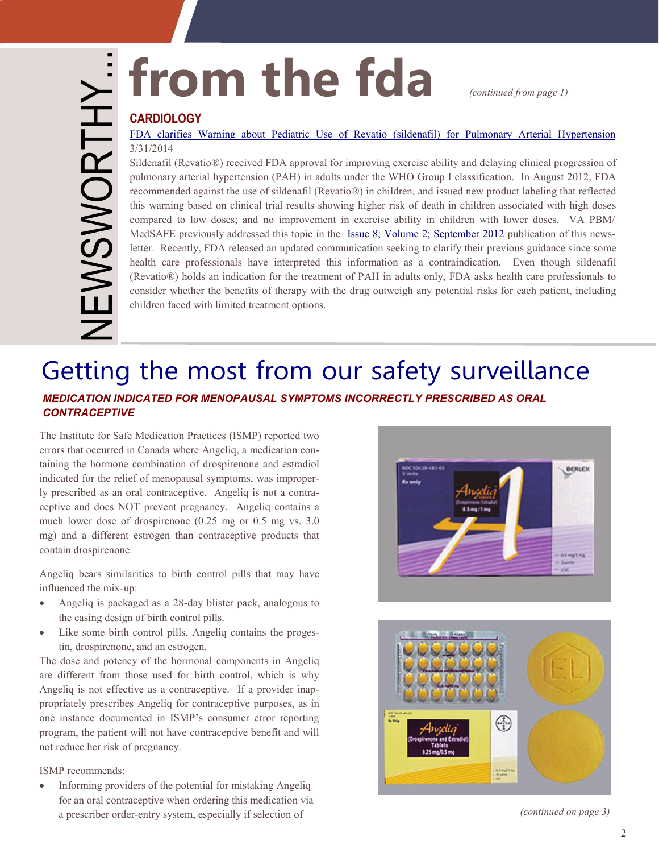# <span id="page-1-0"></span>**from the fda** *(continued from page 1)*

### **CARDIOLOGY**

[FDA clarifies Warning about Pediatric Use of Revatio \(sildenafil\) for Pulmonary Arterial Hypertension](http://www.fda.gov/Drugs/DrugSafety/ucm390876.htm) 3/31/2014

Sildenafil (Revatio®) received FDA approval for improving exercise ability and delaying clinical progression of pulmonary arterial hypertension (PAH) in adults under the WHO Group I classification. In August 2012, FDA recommended against the use of sildenafil (Revatio®) in children, and issued new product labeling that reflected this warning based on clinical trial results showing higher risk of death in children associated with high doses compared to low doses; and no improvement in exercise ability in children with lower doses. VA PBM/ MedSAFE previously addressed this topic in the *[Issue 8; Volume 2; September 2012](http://www.pbm.va.gov/PBM/vacenterformedicationsafety/newsletter/MedicationSafetyinSecondsSept2012FINAL.pdf)* publication of this newsletter. Recently, FDA released an updated communication seeking to clarify their previous guidance since some health care professionals have interpreted this information as a contraindication. Even though sildenafil (Revatio®) holds an indication for the treatment of PAH in adults only, FDA asks health care professionals to consider whether the benefits of therapy with the drug outweigh any potential risks for each patient, including children faced with limited treatment options.

### Getting the most from our safety surveillance

### *MEDICATION INDICATED FOR MENOPAUSAL SYMPTOMS INCORRECTLY PRESCRIBED AS ORAL CONTRACEPTIVE*

The Institute for Safe Medication Practices (ISMP) reported two errors that occurred in Canada where Angeliq, a medication con taining the hormone combination of drospirenone and estradiol indicated for the relief of menopausal symptoms, was improper ly prescribed as an oral contraceptive. Angeliq is not a contra ceptive and does NOT prevent pregnancy. Angeliq contains a much lower dose of drospirenone (0.25 mg or 0.5 mg vs. 3.0 mg) and a different estrogen than contraceptive products that contain drospirenone.

Angeliq bears similarities to birth control pills that may have influenced the mix-up:

- Angeliq is packaged as a 28-day blister pack, analogous to the casing design of birth control pills.
- Like some birth control pills, Angeliq contains the progestin, drospirenone, and an estrogen.

The dose and potency of the hormonal components in Angeliq are different from those used for birth control, which is why Angeliq is not effective as a contraceptive. If a provider inap propriately prescribes Angeliq for contraceptive purposes, as in one instance documented in ISMP's consumer error reporting program, the patient will not have contraceptive benefit and will not reduce her risk of pregnancy.

### ISMP recommends:

• Informing providers of the potential for mistaking Angeliq for an oral contraceptive when ordering this medication via a prescriber order-entry system, especially if selection of *(continued on page 3)*